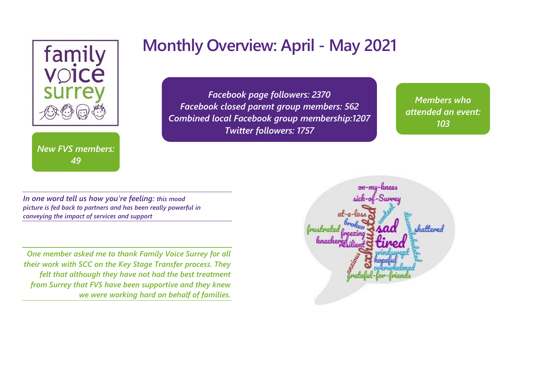

*New FVS members: 49*

# **Monthly Overview: April - May 2021**

*Facebook page followers: 2370 Facebook closed parent group members: 562 Combined local Facebook group membership:1207 Twitter followers: 1757*

*Members who attended an event: 103*

*49*

*In one word tell us how you're feeling: this mood picture is fed back to partners and has been really powerful in conveying the impact of services and support*

*One member asked me to thank Family Voice Surrey for all their work with SCC on the Key Stage Transfer process. They felt that although they have not had the best treatment from Surrey that FVS have been supportive and they knew we were working hard on behalf of families.*

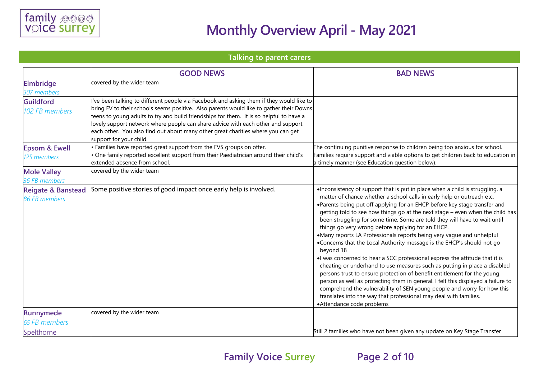

### **Talking to parent carers**

|                                                | <b>GOOD NEWS</b>                                                                                                                                                                                                                                                                                                                                                                                                                                                                | <b>BAD NEWS</b>                                                                                                                                                                                                                                                                                                                                                                                                                                                                                                                                                                                                                                                                                                                                                                                                                                                                                                                                                                                                                                                                                                                |
|------------------------------------------------|---------------------------------------------------------------------------------------------------------------------------------------------------------------------------------------------------------------------------------------------------------------------------------------------------------------------------------------------------------------------------------------------------------------------------------------------------------------------------------|--------------------------------------------------------------------------------------------------------------------------------------------------------------------------------------------------------------------------------------------------------------------------------------------------------------------------------------------------------------------------------------------------------------------------------------------------------------------------------------------------------------------------------------------------------------------------------------------------------------------------------------------------------------------------------------------------------------------------------------------------------------------------------------------------------------------------------------------------------------------------------------------------------------------------------------------------------------------------------------------------------------------------------------------------------------------------------------------------------------------------------|
| <b>Elmbridge</b><br>307 members                | covered by the wider team                                                                                                                                                                                                                                                                                                                                                                                                                                                       |                                                                                                                                                                                                                                                                                                                                                                                                                                                                                                                                                                                                                                                                                                                                                                                                                                                                                                                                                                                                                                                                                                                                |
| <b>Guildford</b><br>102 FB members             | ve been talking to different people via Facebook and asking them if they would like to<br>bring FV to their schools seems positive. Also parents would like to gather their Downs<br>teens to young adults to try and build friendships for them. It is so helpful to have a<br>lovely support network where people can share advice with each other and support<br>each other. You also find out about many other great charities where you can get<br>support for your child. |                                                                                                                                                                                                                                                                                                                                                                                                                                                                                                                                                                                                                                                                                                                                                                                                                                                                                                                                                                                                                                                                                                                                |
| <b>Epsom &amp; Ewell</b><br>125 members        | Families have reported great support from the FVS groups on offer.<br>One family reported excellent support from their Paediatrician around their child's<br>extended absence from school.                                                                                                                                                                                                                                                                                      | The continuing punitive response to children being too anxious for school.<br>Families require support and viable options to get children back to education in<br>a timely manner (see Education question below).                                                                                                                                                                                                                                                                                                                                                                                                                                                                                                                                                                                                                                                                                                                                                                                                                                                                                                              |
| <b>Mole Valley</b><br>36 FB members            | covered by the wider team                                                                                                                                                                                                                                                                                                                                                                                                                                                       |                                                                                                                                                                                                                                                                                                                                                                                                                                                                                                                                                                                                                                                                                                                                                                                                                                                                                                                                                                                                                                                                                                                                |
| <b>Reigate &amp; Banstead</b><br>86 FB members | Some positive stories of good impact once early help is involved.                                                                                                                                                                                                                                                                                                                                                                                                               | . Inconsistency of support that is put in place when a child is struggling, a<br>matter of chance whether a school calls in early help or outreach etc.<br>•Parents being put off applying for an EHCP before key stage transfer and<br>getting told to see how things go at the next stage - even when the child has<br>been struggling for some time. Some are told they will have to wait until<br>things go very wrong before applying for an EHCP.<br>•Many reports LA Professionals reports being very vague and unhelpful<br>•Concerns that the Local Authority message is the EHCP's should not go<br>beyond 18<br>I was concerned to hear a SCC professional express the attitude that it is<br>cheating or underhand to use measures such as putting in place a disabled<br>persons trust to ensure protection of benefit entitlement for the young<br>person as well as protecting them in general. I felt this displayed a failure to<br>comprehend the vulnerability of SEN young people and worry for how this<br>translates into the way that professional may deal with families.<br>•Attendance code problems |
| <b>Runnymede</b>                               | covered by the wider team                                                                                                                                                                                                                                                                                                                                                                                                                                                       |                                                                                                                                                                                                                                                                                                                                                                                                                                                                                                                                                                                                                                                                                                                                                                                                                                                                                                                                                                                                                                                                                                                                |
| <b>65 FB members</b>                           |                                                                                                                                                                                                                                                                                                                                                                                                                                                                                 | Still 2 families who have not been given any update on Key Stage Transfer                                                                                                                                                                                                                                                                                                                                                                                                                                                                                                                                                                                                                                                                                                                                                                                                                                                                                                                                                                                                                                                      |
| Spelthorne                                     |                                                                                                                                                                                                                                                                                                                                                                                                                                                                                 |                                                                                                                                                                                                                                                                                                                                                                                                                                                                                                                                                                                                                                                                                                                                                                                                                                                                                                                                                                                                                                                                                                                                |

**Family Voice Surrey Page 2 of 10**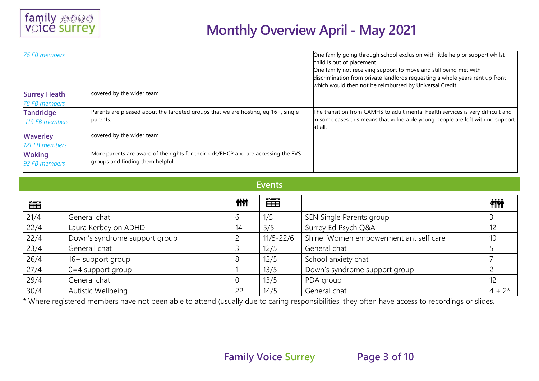| 76 FB members                               |                                                                                                                       | One family going through school exclusion with little help or support whilst<br>child is out of placement.<br>One family not receiving support to move and still being met with<br>discrimination from private landlords requesting a whole years rent up front<br>which would then not be reimbursed by Universal Credit. |
|---------------------------------------------|-----------------------------------------------------------------------------------------------------------------------|----------------------------------------------------------------------------------------------------------------------------------------------------------------------------------------------------------------------------------------------------------------------------------------------------------------------------|
| <b>Surrey Heath</b><br><b>78 FB members</b> | covered by the wider team                                                                                             |                                                                                                                                                                                                                                                                                                                            |
| <b>Tandridge</b><br>119 FB members          | Parents are pleased about the targeted groups that we are hosting, eg 16+, single<br>parents.                         | The transition from CAMHS to adult mental health services is very difficult and<br>in some cases this means that vulnerable young people are left with no support<br>at all.                                                                                                                                               |
| <b>Waverley</b><br>121 FB members           | covered by the wider team                                                                                             |                                                                                                                                                                                                                                                                                                                            |
| <b>Woking</b><br>92 FB members              | More parents are aware of the rights for their kids/EHCP and are accessing the FVS<br>groups and finding them helpful |                                                                                                                                                                                                                                                                                                                            |

#### **Events**

| 凿    |                               | <b>iiii</b> | 當             |                                       | <b>iii</b> |
|------|-------------------------------|-------------|---------------|---------------------------------------|------------|
| 21/4 | General chat                  | b           | 1/5           | SEN Single Parents group              |            |
| 22/4 | Laura Kerbey on ADHD          | 14          | 5/5           | Surrey Ed Psych Q&A                   | 12         |
| 22/4 | Down's syndrome support group |             | $11/5 - 22/6$ | Shine Women empowerment ant self care | 10         |
| 23/4 | Generall chat                 |             | 12/5          | General chat                          |            |
| 26/4 | 16+ support group             |             | 12/5          | School anxiety chat                   |            |
| 27/4 | $0=4$ support group           |             | 13/5          | Down's syndrome support group         |            |
| 29/4 | General chat                  |             | 13/5          | PDA group                             | 12         |
| 30/4 | Autistic Wellbeing            | 22          | 14/5          | General chat                          | $4 + 2*$   |

\* Where registered members have not been able to attend (usually due to caring responsibilities, they often have access to recordings or slides.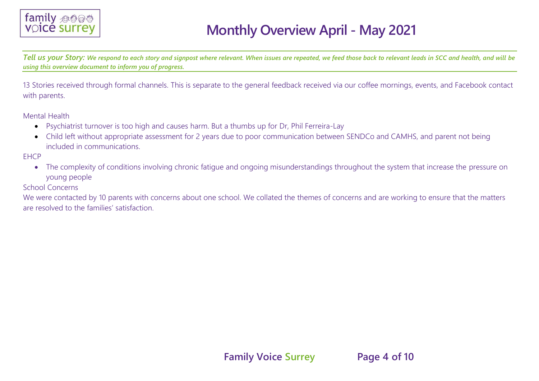

*Tell us your Story: We respond to each story and signpost where relevant. When issues are repeated, we feed those back to relevant leads in SCC and health, and will be using this overview document to inform you of progress.*

13 Stories received through formal channels. This is separate to the general feedback received via our coffee mornings, events, and Facebook contact with parents.

Mental Health

- Psychiatrist turnover is too high and causes harm. But a thumbs up for Dr, Phil Ferreira-Lay
- Child left without appropriate assessment for 2 years due to poor communication between SENDCo and CAMHS, and parent not being included in communications.

**FHCP** 

• The complexity of conditions involving chronic fatigue and ongoing misunderstandings throughout the system that increase the pressure on young people

School Concerns

We were contacted by 10 parents with concerns about one school. We collated the themes of concerns and are working to ensure that the matters are resolved to the families' satisfaction.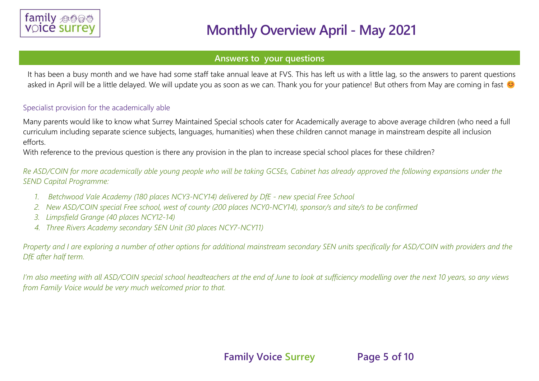

#### **Answers to your questions**

It has been a busy month and we have had some staff take annual leave at FVS. This has left us with a little lag, so the answers to parent questions asked in April will be a little delayed. We will update you as soon as we can. Thank you for your patience! But others from May are coming in fast

#### Specialist provision for the academically able

Many parents would like to know what Surrey Maintained Special schools cater for Academically average to above average children (who need a full curriculum including separate science subjects, languages, humanities) when these children cannot manage in mainstream despite all inclusion efforts.

With reference to the previous question is there any provision in the plan to increase special school places for these children?

*Re ASD/COIN for more academically able young people who will be taking GCSEs, Cabinet has already approved the following expansions under the SEND Capital Programme:*

- *1. Betchwood Vale Academy (180 places NCY3-NCY14) delivered by DfE - new special Free School*
- *2. New ASD/COIN special Free school, west of county (200 places NCY0-NCY14), sponsor/s and site/s to be confirmed*
- *3. Limpsfield Grange (40 places NCY12-14)*
- *4. Three Rivers Academy secondary SEN Unit (30 places NCY7-NCY11)*

*Property and I are exploring a number of other options for additional mainstream secondary SEN units specifically for ASD/COIN with providers and the DfE after half term.*

*I'm also meeting with all ASD/COIN special school headteachers at the end of June to look at sufficiency modelling over the next 10 years, so any views from Family Voice would be very much welcomed prior to that.*

**Family Voice Surrey Page 5 of 10**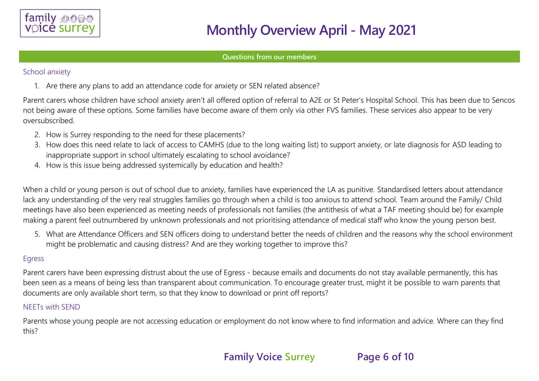

#### **Questions from our members**

#### School anxiety

1. Are there any plans to add an attendance code for anxiety or SEN related absence?

Parent carers whose children have school anxiety aren't all offered option of referral to A2E or St Peter's Hospital School. This has been due to Sencos not being aware of these options. Some families have become aware of them only via other FVS families. These services also appear to be very oversubscribed.

- 2. How is Surrey responding to the need for these placements?
- 3. How does this need relate to lack of access to CAMHS (due to the long waiting list) to support anxiety, or late diagnosis for ASD leading to inappropriate support in school ultimately escalating to school avoidance?
- 4. How is this issue being addressed systemically by education and health?

When a child or young person is out of school due to anxiety, families have experienced the LA as punitive. Standardised letters about attendance lack any understanding of the very real struggles families go through when a child is too anxious to attend school. Team around the Family/ Child meetings have also been experienced as meeting needs of professionals not families (the antithesis of what a TAF meeting should be) for example making a parent feel outnumbered by unknown professionals and not prioritising attendance of medical staff who know the young person best.

5. What are Attendance Officers and SEN officers doing to understand better the needs of children and the reasons why the school environment might be problematic and causing distress? And are they working together to improve this?

#### Egress

Parent carers have been expressing distrust about the use of Egress - because emails and documents do not stay available permanently, this has been seen as a means of being less than transparent about communication. To encourage greater trust, might it be possible to warn parents that documents are only available short term, so that they know to download or print off reports?

### NEETs with SEND

Parents whose young people are not accessing education or employment do not know where to find information and advice. Where can they find this?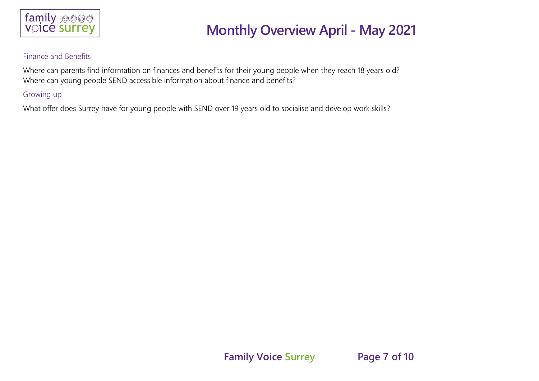

#### Finance and Benefits

Where can parents find information on finances and benefits for their young people when they reach 18 years old? Where can young people SEND accessible information about finance and benefits?

### Growing up

What offer does Surrey have for young people with SEND over 19 years old to socialise and develop work skills?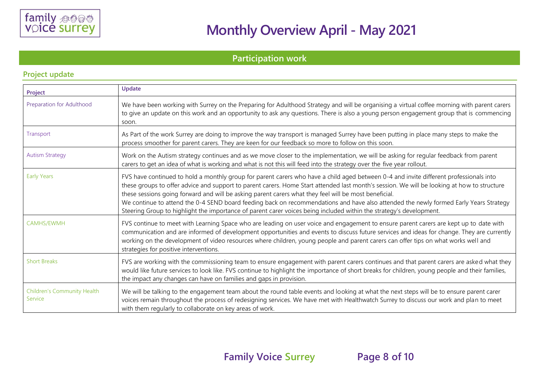

### **Participation work**

| Project                                       | Update                                                                                                                                                                                                                                                                                                                                                                                                                                                                                                                                                                                                                                                         |
|-----------------------------------------------|----------------------------------------------------------------------------------------------------------------------------------------------------------------------------------------------------------------------------------------------------------------------------------------------------------------------------------------------------------------------------------------------------------------------------------------------------------------------------------------------------------------------------------------------------------------------------------------------------------------------------------------------------------------|
| Preparation for Adulthood                     | We have been working with Surrey on the Preparing for Adulthood Strategy and will be organising a virtual coffee morning with parent carers<br>to give an update on this work and an opportunity to ask any questions. There is also a young person engagement group that is commencing<br>soon.                                                                                                                                                                                                                                                                                                                                                               |
| Transport                                     | As Part of the work Surrey are doing to improve the way transport is managed Surrey have been putting in place many steps to make the<br>process smoother for parent carers. They are keen for our feedback so more to follow on this soon.                                                                                                                                                                                                                                                                                                                                                                                                                    |
| <b>Autism Strategy</b>                        | Work on the Autism strategy continues and as we move closer to the implementation, we will be asking for regular feedback from parent<br>carers to get an idea of what is working and what is not this will feed into the strategy over the five year rollout.                                                                                                                                                                                                                                                                                                                                                                                                 |
| <b>Early Years</b>                            | FVS have continued to hold a monthly group for parent carers who have a child aged between 0-4 and invite different professionals into<br>these groups to offer advice and support to parent carers. Home Start attended last month's session. We will be looking at how to structure<br>these sessions going forward and will be asking parent carers what they feel will be most beneficial.<br>We continue to attend the 0-4 SEND board feeding back on recommendations and have also attended the newly formed Early Years Strategy<br>Steering Group to highlight the importance of parent carer voices being included within the strategy's development. |
| CAMHS/EWMH                                    | FVS continue to meet with Learning Space who are leading on user voice and engagement to ensure parent carers are kept up to date with<br>communication and are informed of development opportunities and events to discuss future services and ideas for change. They are currently<br>working on the development of video resources where children, young people and parent carers can offer tips on what works well and<br>strategies for positive interventions.                                                                                                                                                                                           |
| <b>Short Breaks</b>                           | FVS are working with the commissioning team to ensure engagement with parent carers continues and that parent carers are asked what they<br>would like future services to look like. FVS continue to highlight the importance of short breaks for children, young people and their families,<br>the impact any changes can have on families and gaps in provision.                                                                                                                                                                                                                                                                                             |
| <b>Children's Community Health</b><br>Service | We will be talking to the engagement team about the round table events and looking at what the next steps will be to ensure parent carer<br>voices remain throughout the process of redesigning services. We have met with Healthwatch Surrey to discuss our work and plan to meet<br>with them regularly to collaborate on key areas of work.                                                                                                                                                                                                                                                                                                                 |

#### **Project update**

**Family Voice Surrey Page 8 of 10**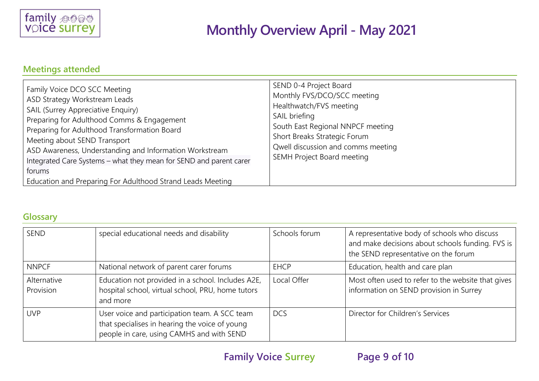

### **Meetings attended**

| Family Voice DCO SCC Meeting<br>ASD Strategy Workstream Leads<br>SAIL (Surrey Appreciative Enquiry)<br>Preparing for Adulthood Comms & Engagement<br>Preparing for Adulthood Transformation Board<br>Meeting about SEND Transport<br>ASD Awareness, Understanding and Information Workstream<br>Integrated Care Systems - what they mean for SEND and parent carer<br>forums<br>Education and Preparing For Adulthood Strand Leads Meeting | SEND 0-4 Project Board<br>Monthly FVS/DCO/SCC meeting<br>Healthwatch/FVS meeting<br>SAIL briefing<br>South East Regional NNPCF meeting<br>Short Breaks Strategic Forum<br>Qwell discussion and comms meeting<br>SEMH Project Board meeting |
|--------------------------------------------------------------------------------------------------------------------------------------------------------------------------------------------------------------------------------------------------------------------------------------------------------------------------------------------------------------------------------------------------------------------------------------------|--------------------------------------------------------------------------------------------------------------------------------------------------------------------------------------------------------------------------------------------|
|--------------------------------------------------------------------------------------------------------------------------------------------------------------------------------------------------------------------------------------------------------------------------------------------------------------------------------------------------------------------------------------------------------------------------------------------|--------------------------------------------------------------------------------------------------------------------------------------------------------------------------------------------------------------------------------------------|

### **Glossary**

| SEND                     | special educational needs and disability                                                                                                     | Schools forum | A representative body of schools who discuss<br>and make decisions about schools funding. FVS is<br>the SEND representative on the forum |
|--------------------------|----------------------------------------------------------------------------------------------------------------------------------------------|---------------|------------------------------------------------------------------------------------------------------------------------------------------|
| <b>NNPCF</b>             | National network of parent carer forums                                                                                                      | <b>EHCP</b>   | Education, health and care plan                                                                                                          |
| Alternative<br>Provision | Education not provided in a school. Includes A2E,<br>hospital school, virtual school, PRU, home tutors<br>and more                           | Local Offer   | Most often used to refer to the website that gives<br>information on SEND provision in Surrey                                            |
| <b>UVP</b>               | User voice and participation team. A SCC team<br>that specialises in hearing the voice of young<br>people in care, using CAMHS and with SEND | <b>DCS</b>    | Director for Children's Services                                                                                                         |

**Family Voice Surrey Page 9 of 10**